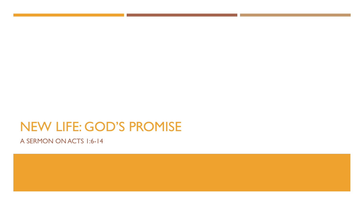# NEW LIFE: GOD'S PROMISE

A SERMON ON ACTS 1:6-14

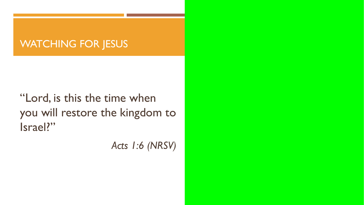### WATCHING FOR JESUS

"Lord, is this the time when you will restore the kingdom to Israel?"

*Acts 1:6 (NRSV)*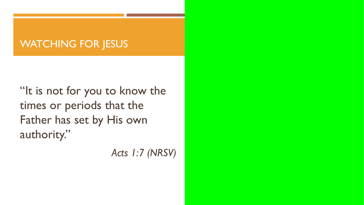#### WATCHING FOR JESUS

"It is not for you to know the times or periods that the Father has set by His own authority."

*Acts 1:7 (NRSV)*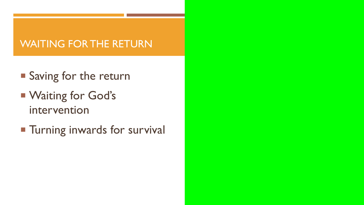# WAITING FOR THE RETURN

- **Saving for the return**
- **Waiting for God's** intervention
- **Turning inwards for survival**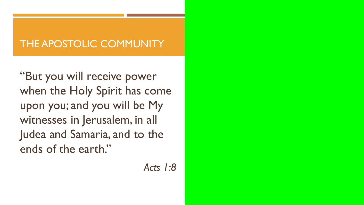# THE APOSTOLIC COMMUNITY

"But you will receive power when the Holy Spirit has come upon you; and you will be My witnesses in Jerusalem, in all Judea and Samaria, and to the ends of the earth."

*Acts 1:8*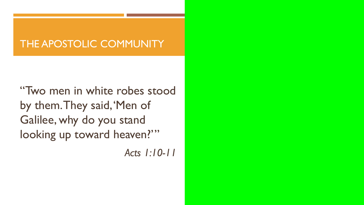### THE APOSTOLIC COMMUNITY

"Two men in white robes stood by them. They said, 'Men of Galilee, why do you stand looking up toward heaven?""

*Acts 1:10-11*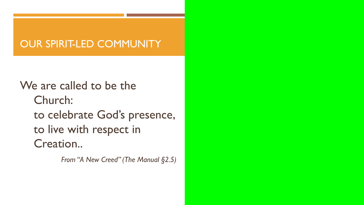### OUR SPIRIT-LED COMMUNITY

We are called to be the Church: to celebrate God's presence, to live with respect in Creation..

*From "A New Creed" (The Manual §2.5)*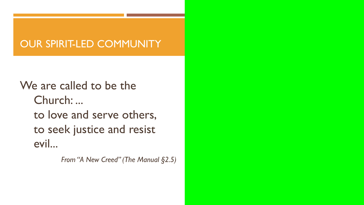#### OUR SPIRIT-LED COMMUNITY

We are called to be the Church: ... to love and serve others, to seek justice and resist evil...

*From "A New Creed" (The Manual §2.5)*